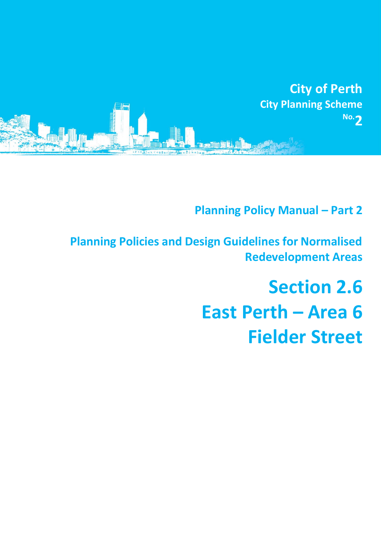

**Planning Policy Manual - Part 2** 

**Planning Policies and Design Guidelines for Normalised Redevelopment Areas**

# **Section 2.6 East Perth – Area 6 Fielder Street**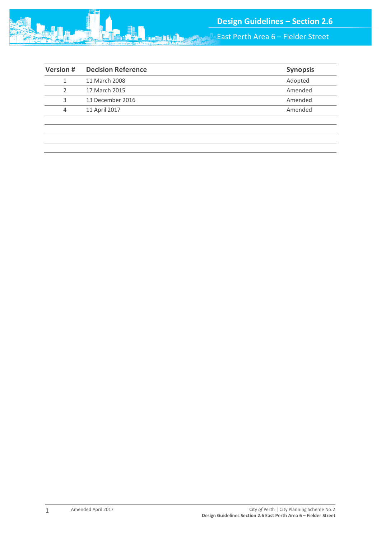

East Perth Area 6 – Fielder Street

| <b>Version#</b> | <b>Decision Reference</b> | <b>Synopsis</b> |
|-----------------|---------------------------|-----------------|
|                 | 11 March 2008             | Adopted         |
|                 | 17 March 2015             | Amended         |
| 3               | 13 December 2016          | Amended         |
| 4               | 11 April 2017             | Amended         |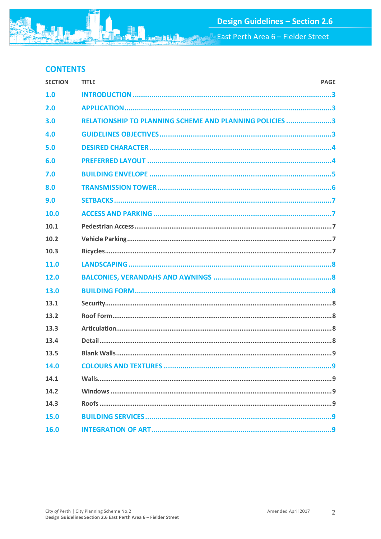East Perth Area 6 - Fielder Street

# **CONTENTS**

| <b>SECTION</b> | <b>TITLE</b><br><u> 1989 - Johann Stoff, deutscher Stoff, der Stoff, der Stoff, der Stoff, der Stoff, der Stoff, der Stoff, der S</u> | <b>PAGE</b> |
|----------------|---------------------------------------------------------------------------------------------------------------------------------------|-------------|
| 1.0            |                                                                                                                                       |             |
| 2.0            |                                                                                                                                       |             |
| 3.0            | <b>RELATIONSHIP TO PLANNING SCHEME AND PLANNING POLICIES 3</b>                                                                        |             |
| 4.0            |                                                                                                                                       |             |
| 5.0            |                                                                                                                                       |             |
| 6.0            |                                                                                                                                       |             |
| 7.0            |                                                                                                                                       |             |
| 8.0            |                                                                                                                                       |             |
| 9.0            |                                                                                                                                       |             |
| 10.0           |                                                                                                                                       |             |
| 10.1           |                                                                                                                                       |             |
| 10.2           |                                                                                                                                       |             |
| 10.3           |                                                                                                                                       |             |
| 11.0           |                                                                                                                                       |             |
| 12.0           |                                                                                                                                       |             |
| 13.0           |                                                                                                                                       |             |
| 13.1           |                                                                                                                                       |             |
| 13.2           |                                                                                                                                       |             |
| 13.3           |                                                                                                                                       |             |
| 13.4           |                                                                                                                                       |             |
| 13.5           |                                                                                                                                       |             |
| 14.0           | <b>COLOURS AND TEXTURES </b>                                                                                                          | q           |
| 14.1           |                                                                                                                                       |             |
| 14.2           |                                                                                                                                       |             |
| 14.3           |                                                                                                                                       |             |
| 15.0           |                                                                                                                                       |             |
| 16.0           |                                                                                                                                       |             |

**Farith**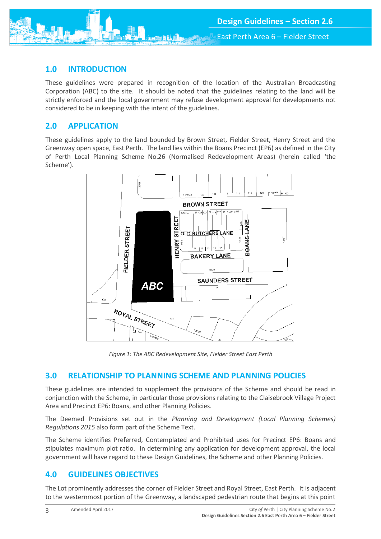## <span id="page-3-0"></span>**1.0 INTRODUCTION**

These guidelines were prepared in recognition of the location of the Australian Broadcasting Corporation (ABC) to the site. It should be noted that the guidelines relating to the land will be strictly enforced and the local government may refuse development approval for developments not considered to be in keeping with the intent of the guidelines.

## <span id="page-3-1"></span>**2.0 APPLICATION**

These guidelines apply to the land bounded by Brown Street, Fielder Street, Henry Street and the Greenway open space, East Perth. The land lies within the Boans Precinct (EP6) as defined in the City of Perth Local Planning Scheme No.26 (Normalised Redevelopment Areas) (herein called 'the Scheme').



*Figure 1: The ABC Redevelopment Site, Fielder Street East Perth*

## <span id="page-3-2"></span>**3.0 RELATIONSHIP TO PLANNING SCHEME AND PLANNING POLICIES**

These guidelines are intended to supplement the provisions of the Scheme and should be read in conjunction with the Scheme, in particular those provisions relating to the Claisebrook Village Project Area and Precinct EP6: Boans, and other Planning Policies.

The Deemed Provisions set out in the *Planning and Development (Local Planning Schemes) Regulations 2015* also form part of the Scheme Text.

The Scheme identifies Preferred, Contemplated and Prohibited uses for Precinct EP6: Boans and stipulates maximum plot ratio. In determining any application for development approval, the local government will have regard to these Design Guidelines, the Scheme and other Planning Policies.

# <span id="page-3-3"></span>**4.0 GUIDELINES OBJECTIVES**

The Lot prominently addresses the corner of Fielder Street and Royal Street, East Perth. It is adjacent to the westernmost portion of the Greenway, a landscaped pedestrian route that begins at this point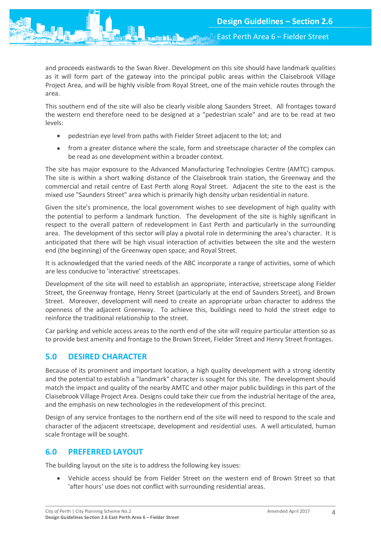and proceeds eastwards to the Swan River. Development on this site should have landmark qualities as it will form part of the gateway into the principal public areas within the Claisebrook Village Project Area, and will be highly visible from Royal Street, one of the main vehicle routes through the area.

This southern end of the site will also be clearly visible along Saunders Street. All frontages toward the western end therefore need to be designed at a "pedestrian scale" and are to be read at two levels:

- pedestrian eye level from paths with Fielder Street adjacent to the lot; and
- from a greater distance where the scale, form and streetscape character of the complex can be read as one development within a broader context.

The site has major exposure to the Advanced Manufacturing Technologies Centre (AMTC) campus. The site is within a short walking distance of the Claisebrook train station, the Greenway and the commercial and retail centre of East Perth along Royal Street. Adjacent the site to the east is the mixed use "Saunders Street" area which is primarily high density urban residential in nature.

Given the site's prominence, the local government wishes to see development of high quality with the potential to perform a landmark function. The development of the site is highly significant in respect to the overall pattern of redevelopment in East Perth and particularly in the surrounding area. The development of this sector will play a pivotal role in determining the area's character. It is anticipated that there will be high visual interaction of activities between the site and the western end (the beginning) of the Greenway open space; and Royal Street.

It is acknowledged that the varied needs of the ABC incorporate a range of activities, some of which are less conducive to 'interactive' streetscapes.

Development of the site will need to establish an appropriate, interactive, streetscape along Fielder Street, the Greenway frontage, Henry Street (particularly at the end of Saunders Street), and Brown Street. Moreover, development will need to create an appropriate urban character to address the openness of the adjacent Greenway. To achieve this, buildings need to hold the street edge to reinforce the traditional relationship to the street.

Car parking and vehicle access areas to the north end of the site will require particular attention so as to provide best amenity and frontage to the Brown Street, Fielder Street and Henry Street frontages.

# <span id="page-4-0"></span>**5.0 DESIRED CHARACTER**

Because of its prominent and important location, a high quality development with a strong identity and the potential to establish a "landmark" character is sought for this site. The development should match the impact and quality of the nearby AMTC and other major public buildings in this part of the Claisebrook Village Project Area. Designs could take their cue from the industrial heritage of the area, and the emphasis on new technologies in the redevelopment of this precinct.

Design of any service frontages to the northern end of the site will need to respond to the scale and character of the adjacent streetscape, development and residential uses. A well articulated, human scale frontage will be sought.

# <span id="page-4-1"></span>**6.0 PREFERRED LAYOUT**

The building layout on the site is to address the following key issues:

 Vehicle access should be from Fielder Street on the western end of Brown Street so that 'after hours' use does not conflict with surrounding residential areas.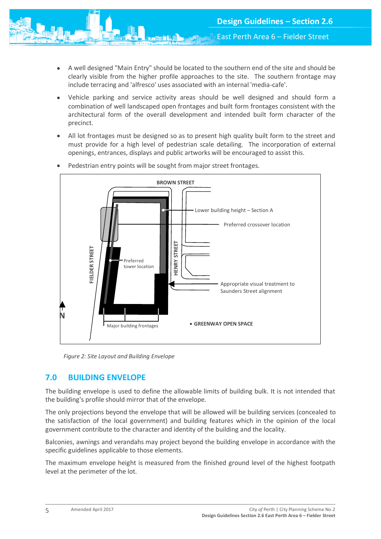- A well designed "Main Entry" should be located to the southern end of the site and should be clearly visible from the higher profile approaches to the site. The southern frontage may include terracing and 'alfresco' uses associated with an internal 'media-cafe'.
- Vehicle parking and service activity areas should be well designed and should form a combination of well landscaped open frontages and built form frontages consistent with the architectural form of the overall development and intended built form character of the precinct.
- All lot frontages must be designed so as to present high quality built form to the street and must provide for a high level of pedestrian scale detailing. The incorporation of external openings, entrances, displays and public artworks will be encouraged to assist this.



Pedestrian entry points will be sought from major street frontages.

*Figure 2: Site Layout and Building Envelope*

## <span id="page-5-0"></span>**7.0 BUILDING ENVELOPE**

The building envelope is used to define the allowable limits of building bulk. It is not intended that the building's profile should mirror that of the envelope.

The only projections beyond the envelope that will be allowed will be building services (concealed to the satisfaction of the local government) and building features which in the opinion of the local government contribute to the character and identity of the building and the locality.

Balconies, awnings and verandahs may project beyond the building envelope in accordance with the specific guidelines applicable to those elements.

The maximum envelope height is measured from the finished ground level of the highest footpath level at the perimeter of the lot.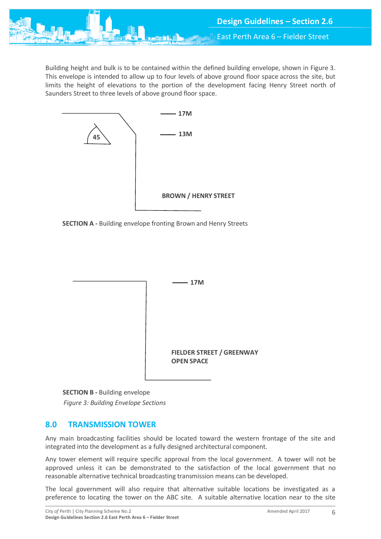

Building height and bulk is to be contained within the defined building envelope, shown in Figure 3. This envelope is intended to allow up to four levels of above ground floor space across the site, but limits the height of elevations to the portion of the development facing Henry Street north of Saunders Street to three levels of above ground floor space.



**SECTION A -** Building envelope fronting Brown and Henry Streets



**SECTION B -** Building envelope

*Figure 3: Building Envelope Sections*

# <span id="page-6-0"></span>**8.0 TRANSMISSION TOWER**

Any main broadcasting facilities should be located toward the western frontage of the site and integrated into the development as a fully designed architectural component.

Any tower element will require specific approval from the local government. A tower will not be approved unless it can be demonstrated to the satisfaction of the local government that no reasonable alternative technical broadcasting transmission means can be developed.

The local government will also require that alternative suitable locations be investigated as a preference to locating the tower on the ABC site. A suitable alternative location near to the site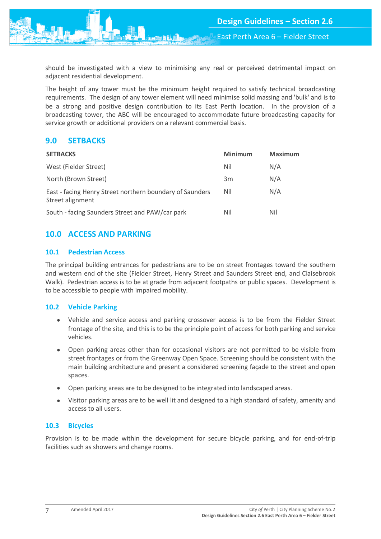East Perth Area 6 – Fielder Street

should be investigated with a view to minimising any real or perceived detrimental impact on adjacent residential development.

The height of any tower must be the minimum height required to satisfy technical broadcasting requirements. The design of any tower element will need minimise solid massing and 'bulk' and is to be a strong and positive design contribution to its East Perth location. In the provision of a broadcasting tower, the ABC will be encouraged to accommodate future broadcasting capacity for service growth or additional providers on a relevant commercial basis.

# <span id="page-7-0"></span>**9.0 SETBACKS**

| <b>SETBACKS</b>                                                              | <b>Minimum</b> | <b>Maximum</b> |
|------------------------------------------------------------------------------|----------------|----------------|
| West (Fielder Street)                                                        | Nil            | N/A            |
| North (Brown Street)                                                         | 3m             | N/A            |
| East - facing Henry Street northern boundary of Saunders<br>Street alignment | Nil            | N/A            |
| South - facing Saunders Street and PAW/car park                              | Nil            | Nil            |

# <span id="page-7-1"></span>**10.0 ACCESS AND PARKING**

## <span id="page-7-2"></span>**10.1 Pedestrian Access**

The principal building entrances for pedestrians are to be on street frontages toward the southern and western end of the site (Fielder Street, Henry Street and Saunders Street end, and Claisebrook Walk). Pedestrian access is to be at grade from adjacent footpaths or public spaces. Development is to be accessible to people with impaired mobility.

## <span id="page-7-3"></span>**10.2 Vehicle Parking**

- Vehicle and service access and parking crossover access is to be from the Fielder Street frontage of the site, and this is to be the principle point of access for both parking and service vehicles.
- Open parking areas other than for occasional visitors are not permitted to be visible from street frontages or from the Greenway Open Space. Screening should be consistent with the main building architecture and present a considered screening façade to the street and open spaces.
- Open parking areas are to be designed to be integrated into landscaped areas.
- Visitor parking areas are to be well lit and designed to a high standard of safety, amenity and access to all users.

## <span id="page-7-4"></span>**10.3 Bicycles**

Provision is to be made within the development for secure bicycle parking, and for end-of-trip facilities such as showers and change rooms.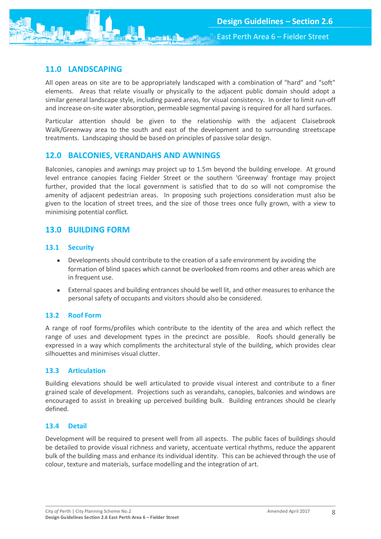# <span id="page-8-0"></span>**11.0 LANDSCAPING**

All open areas on site are to be appropriately landscaped with a combination of "hard" and "soft" elements. Areas that relate visually or physically to the adjacent public domain should adopt a similar general landscape style, including paved areas, for visual consistency. In order to limit run-off and increase on-site water absorption, permeable segmental paving is required for all hard surfaces.

Particular attention should be given to the relationship with the adjacent Claisebrook Walk/Greenway area to the south and east of the development and to surrounding streetscape treatments. Landscaping should be based on principles of passive solar design.

# <span id="page-8-1"></span>**12.0 BALCONIES, VERANDAHS AND AWNINGS**

Balconies, canopies and awnings may project up to 1.5m beyond the building envelope. At ground level entrance canopies facing Fielder Street or the southern 'Greenway' frontage may project further, provided that the local government is satisfied that to do so will not compromise the amenity of adjacent pedestrian areas. In proposing such projections consideration must also be given to the location of street trees, and the size of those trees once fully grown, with a view to minimising potential conflict.

# <span id="page-8-2"></span>**13.0 BUILDING FORM**

## <span id="page-8-3"></span>**13.1 Security**

- Developments should contribute to the creation of a safe environment by avoiding the formation of blind spaces which cannot be overlooked from rooms and other areas which are in frequent use.
- External spaces and building entrances should be well lit, and other measures to enhance the personal safety of occupants and visitors should also be considered.

## <span id="page-8-4"></span>**13.2 Roof Form**

A range of roof forms/profiles which contribute to the identity of the area and which reflect the range of uses and development types in the precinct are possible. Roofs should generally be expressed in a way which compliments the architectural style of the building, which provides clear silhouettes and minimises visual clutter.

## <span id="page-8-5"></span>**13.3 Articulation**

Building elevations should be well articulated to provide visual interest and contribute to a finer grained scale of development. Projections such as verandahs, canopies, balconies and windows are encouraged to assist in breaking up perceived building bulk. Building entrances should be clearly defined.

## <span id="page-8-6"></span>**13.4 Detail**

<span id="page-8-7"></span>Development will be required to present well from all aspects. The public faces of buildings should be detailed to provide visual richness and variety, accentuate vertical rhythms, reduce the apparent bulk of the building mass and enhance its individual identity. This can be achieved through the use of colour, texture and materials, surface modelling and the integration of art.